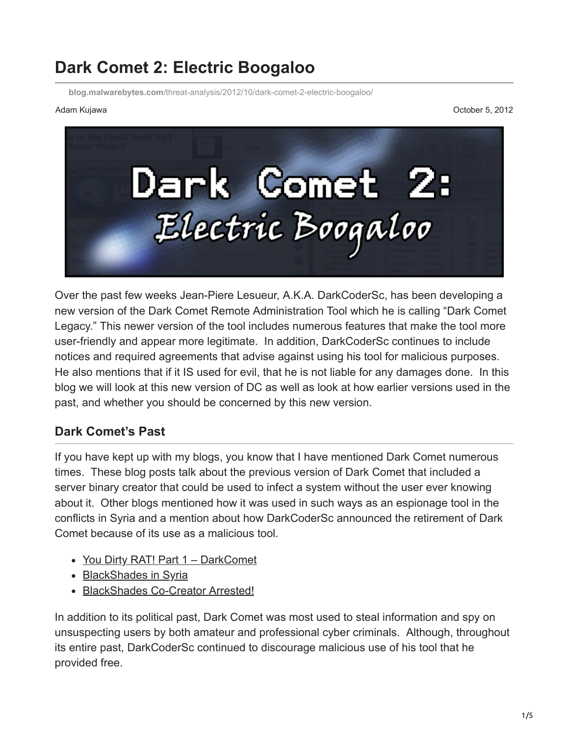# **Dark Comet 2: Electric Boogaloo**

**blog.malwarebytes.com**[/threat-analysis/2012/10/dark-comet-2-electric-boogaloo/](https://blog.malwarebytes.com/threat-analysis/2012/10/dark-comet-2-electric-boogaloo/)

Adam Kujawa October 5, 2012



Over the past few weeks Jean-Piere Lesueur, A.K.A. DarkCoderSc, has been developing a new version of the Dark Comet Remote Administration Tool which he is calling "Dark Comet Legacy." This newer version of the tool includes numerous features that make the tool more user-friendly and appear more legitimate. In addition, DarkCoderSc continues to include notices and required agreements that advise against using his tool for malicious purposes. He also mentions that if it IS used for evil, that he is not liable for any damages done. In this blog we will look at this new version of DC as well as look at how earlier versions used in the past, and whether you should be concerned by this new version.

#### **Dark Comet's Past**

If you have kept up with my blogs, you know that I have mentioned Dark Comet numerous times. These blog posts talk about the previous version of Dark Comet that included a server binary creator that could be used to infect a system without the user ever knowing about it. Other blogs mentioned how it was used in such ways as an espionage tool in the conflicts in Syria and a mention about how DarkCoderSc announced the retirement of Dark Comet because of its use as a malicious tool.

- [You Dirty RAT! Part 1 DarkComet](http://blog.malwarebytes.org/intelligence/2012/06/you-dirty-rat-part-1-darkcomet/)
- [BlackShades in Syria](http://blog.malwarebytes.org/intelligence/2012/06/blackshades-in-syria/)
- [BlackShades Co-Creator Arrested!](http://blog.malwarebytes.org/intelligence/2012/07/blackshades-co-creator-arrested/)

In addition to its political past, Dark Comet was most used to steal information and spy on unsuspecting users by both amateur and professional cyber criminals. Although, throughout its entire past, DarkCoderSc continued to discourage malicious use of his tool that he provided free.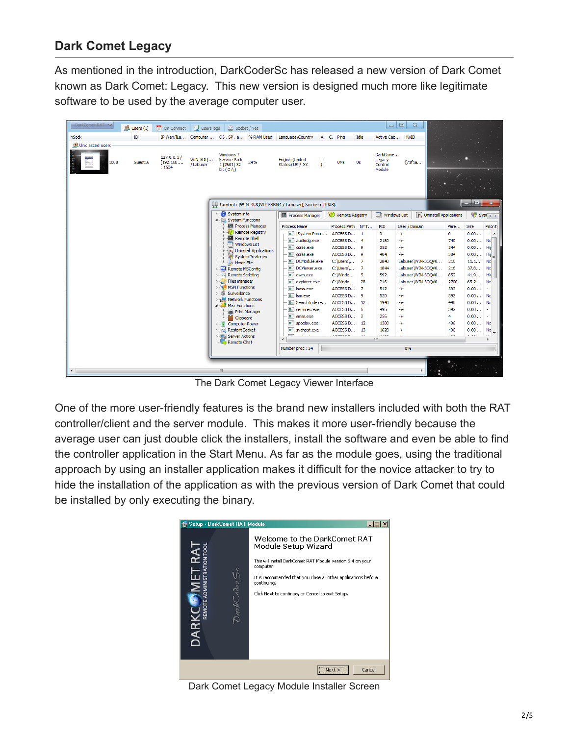### **Dark Comet Legacy**

As mentioned in the introduction, DarkCoderSc has released a new version of Dark Comet known as Dark Comet: Legacy. This new version is designed much more like legitimate software to be used by the average computer user.

| DarkComet-RAT                    | $\mathcal{R}$ Users (1) | $\frac{9}{31}$ On Connect         |                     | Users logs 2 Socket / Net                                                         |                                             |                                                       |    |                             |      | $\Box$                                    | $\mathbb{Z}$<br>$\Box$ |                                 |             |                   |                     |
|----------------------------------|-------------------------|-----------------------------------|---------------------|-----------------------------------------------------------------------------------|---------------------------------------------|-------------------------------------------------------|----|-----------------------------|------|-------------------------------------------|------------------------|---------------------------------|-------------|-------------------|---------------------|
| hSock                            | ID.                     |                                   |                     |                                                                                   | IP Wan/[La Computer  OS . SP . a % RAM Used | Language/Country                                      |    | A. C. Ping                  | Idle | Active Cap HWID                           |                        |                                 |             |                   |                     |
| <b>R</b> Unclassed users<br>1008 | Guest <sub>16</sub>     | 127.0.0.1/<br>[192.168]<br>: 1604 | WIN-300<br>/Labuser | Windows 7<br>Service Pack<br>1 [7601] 32<br>bit(C:1)                              | 24%                                         | English (United<br>States) US / XX                    | ι. | 0 <sub>Ms</sub>             | 0s   | DarkCome<br>Legacy -<br>Control<br>Module | {71f1a                 |                                 |             |                   |                     |
|                                  |                         |                                   |                     |                                                                                   |                                             | Control: [WIN-3OQV01E8RN4 / Labuser], Socket: [1008]. |    |                             |      |                                           |                        |                                 |             | الكاراد           | $\mathbf{x}$        |
|                                  |                         |                                   |                     | $\triangleright$ $\cdot$ System info<br>4 System Functions                        |                                             | <b>Process Manager</b>                                |    | Remote Registry             |      | Windows List                              |                        | <b>D</b> Uninstall Applications |             | Syst <sub>4</sub> |                     |
|                                  |                         |                                   |                     |                                                                                   | <b>IM Process Manager</b>                   | <b>Process Name</b>                                   |    | Process Path N° T           |      | PID                                       | User / Domain          | Pare                            | <b>Size</b> |                   | Priority            |
|                                  |                         |                                   |                     | <b>Remote Shell</b>                                                               | <b>Remote Registry</b>                      | <b>E [System Proce</b>                                |    | ACCESS D 1                  |      | $\mathbf{0}$                              | 4                      | $\mathbf{0}$                    |             | 0.00              | $\overline{a}$<br>÷ |
|                                  |                         |                                   |                     |                                                                                   | <b>Windows List</b>                         | audiodg.exe                                           |    | ACCESS D 4                  |      | 2180                                      | 4                      | 740                             |             | 0.00              | Na                  |
|                                  |                         |                                   |                     |                                                                                   | <b>D</b> Uninstall Applications             | $\blacksquare$ csrss.exe<br><b>THE CSTSS.exe</b>      |    | ACCESS D 9<br>ACCESS D 9    |      | 352                                       | 4<br>Ą.                | 344<br>384                      |             | 0.00<br>0.00      | Hic                 |
|                                  |                         |                                   |                     |                                                                                   | System Privileges                           | DCModule.exe                                          |    | C:\Users\ 7                 |      | 404<br>2840                               | Labuser WIN-300V0      | 216                             |             | 11.1              | Hid<br>Nd           |
|                                  |                         |                                   |                     | Hosts File<br><b>D</b> - <b>Z</b> Remote MSConfig                                 |                                             | DCViewer.exe                                          |    | $C:$ Users \ 7              |      | 1844                                      | Labuser\WIN-3OOV0      | 216                             |             | 37.8              | Nd                  |
|                                  |                         |                                   |                     | De Remote Scripting                                                               |                                             | dwm.exe                                               |    | C:\Windo                    | - 5  | 592                                       | Labuser WIN-30QV0      | 852                             |             | 41.9              | Hic                 |
|                                  |                         |                                   |                     | <b>D</b> Files manager                                                            |                                             | $\blacksquare$ explorer.exe                           |    | C:\Windo                    | 28   | 216                                       | Labuser\WIN-3OQV0      | 2700                            |             | 65.2              | No                  |
|                                  |                         |                                   |                     | <b>NO MSN Functions</b>                                                           |                                             | sass.exe                                              |    | ACCESS D 7                  |      | 512                                       | $+$                    | 392                             |             | 0.00              | $\sim$              |
|                                  |                         |                                   |                     | Surveillance<br>$D - 6D$                                                          |                                             | $\blacksquare$ Ism.exe                                |    | ACCESS D 9                  |      | 520                                       | 4                      | 392                             |             | $0.00$ No         |                     |
|                                  |                         |                                   |                     | <b>D</b> <sub>T</sub> <sup>2</sup> Network Functions<br>4 <b>A</b> Misc Functions |                                             | SearchIndexe                                          |    | ACCESS D 12                 |      | 1940                                      | 4                      | 496                             |             | $0.00$ No         |                     |
|                                  |                         |                                   |                     | <b>Print Manager</b>                                                              |                                             | services.exe                                          |    | ACCESS D 6                  |      | 496                                       | 4                      | 392                             |             | 0.00              |                     |
|                                  |                         |                                   |                     | Clipboard                                                                         |                                             | Œ۱<br>smss.exe                                        |    | ACCESS D 2                  |      | 256                                       | 4                      | 4                               |             | $0.00$ -          |                     |
|                                  |                         |                                   |                     | <b>Computer Power</b><br>$\triangleright$ $\cdot$ $\vert\cdot\vert$               |                                             | spoolsv.exe                                           |    | ACCESS D 12                 |      | 1300                                      | 4                      | 496                             |             | $0.00$ No         |                     |
|                                  |                         |                                   |                     | <b>D</b> - ILL Restart Socket                                                     |                                             | svchost.exe<br>$-21$                                  |    | ACCESS D 13<br><b>COPOS</b> |      | 1628<br>4400                              | ⊹                      | 496                             | 5.88        | 0.00              | No                  |
|                                  |                         |                                   |                     | <b>D</b> - <b>B</b> Server Actions<br>Remote Chat                                 |                                             |                                                       |    |                             |      | m.                                        |                        |                                 |             |                   |                     |
|                                  |                         |                                   |                     |                                                                                   |                                             | Number proc: 34                                       |    |                             |      |                                           | 0%                     |                                 |             |                   |                     |
| $\lceil$ (                       |                         |                                   |                     | m.                                                                                |                                             |                                                       |    |                             |      |                                           |                        |                                 |             |                   |                     |

The Dark Comet Legacy Viewer Interface

One of the more user-friendly features is the brand new installers included with both the RAT controller/client and the server module. This makes it more user-friendly because the average user can just double click the installers, install the software and even be able to find the controller application in the Start Menu. As far as the module goes, using the traditional approach by using an installer application makes it difficult for the novice attacker to try to hide the installation of the application as with the previous version of Dark Comet that could be installed by only executing the binary.



Dark Comet Legacy Module Installer Screen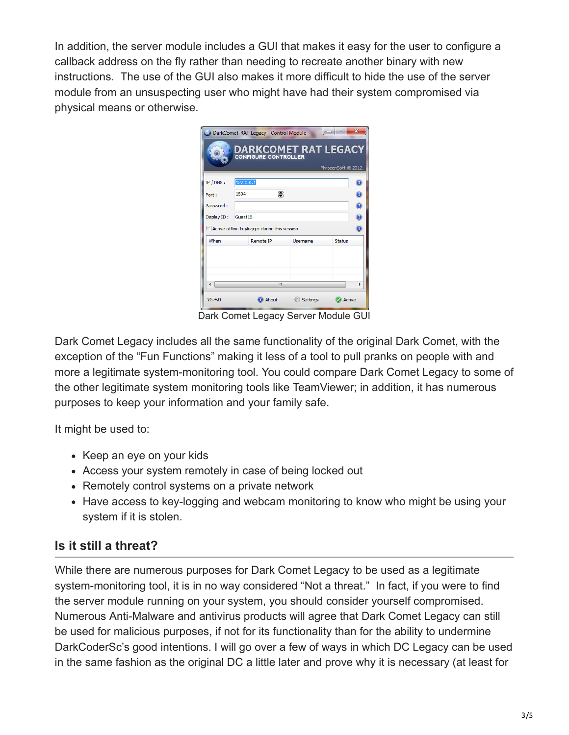In addition, the server module includes a GUI that makes it easy for the user to configure a callback address on the fly rather than needing to recreate another binary with new instructions. The use of the GUI also makes it more difficult to hide the use of the server module from an unsuspecting user who might have had their system compromised via physical means or otherwise.

|                                                   | <b>DARKCOMET RAT LEGACY</b> | PhrozenSoft © 2012. |        |  |  |  |  |  |  |  |  |
|---------------------------------------------------|-----------------------------|---------------------|--------|--|--|--|--|--|--|--|--|
|                                                   |                             |                     |        |  |  |  |  |  |  |  |  |
| 127.0.0.1                                         |                             |                     |        |  |  |  |  |  |  |  |  |
| 暠<br>1604                                         |                             |                     |        |  |  |  |  |  |  |  |  |
| Password:                                         |                             |                     |        |  |  |  |  |  |  |  |  |
| Guest <sub>16</sub>                               |                             | ē                   |        |  |  |  |  |  |  |  |  |
| F<br>Active offline keylogger during this session |                             |                     |        |  |  |  |  |  |  |  |  |
| Remote IP                                         | Lisername                   | <b>Status</b>       |        |  |  |  |  |  |  |  |  |
|                                                   |                             |                     |        |  |  |  |  |  |  |  |  |
|                                                   |                             |                     |        |  |  |  |  |  |  |  |  |
|                                                   |                             |                     |        |  |  |  |  |  |  |  |  |
|                                                   |                             |                     | þ      |  |  |  |  |  |  |  |  |
|                                                   | <b>Settings</b>             |                     |        |  |  |  |  |  |  |  |  |
|                                                   | Ш                           | About               | Active |  |  |  |  |  |  |  |  |

Dark Comet Legacy Server Module GUI

Dark Comet Legacy includes all the same functionality of the original Dark Comet, with the exception of the "Fun Functions" making it less of a tool to pull pranks on people with and more a legitimate system-monitoring tool. You could compare Dark Comet Legacy to some of the other legitimate system monitoring tools like TeamViewer; in addition, it has numerous purposes to keep your information and your family safe.

It might be used to:

- Keep an eye on your kids
- Access your system remotely in case of being locked out
- Remotely control systems on a private network
- Have access to key-logging and webcam monitoring to know who might be using your system if it is stolen.

#### **Is it still a threat?**

While there are numerous purposes for Dark Comet Legacy to be used as a legitimate system-monitoring tool, it is in no way considered "Not a threat." In fact, if you were to find the server module running on your system, you should consider yourself compromised. Numerous Anti-Malware and antivirus products will agree that Dark Comet Legacy can still be used for malicious purposes, if not for its functionality than for the ability to undermine DarkCoderSc's good intentions. I will go over a few of ways in which DC Legacy can be used in the same fashion as the original DC a little later and prove why it is necessary (at least for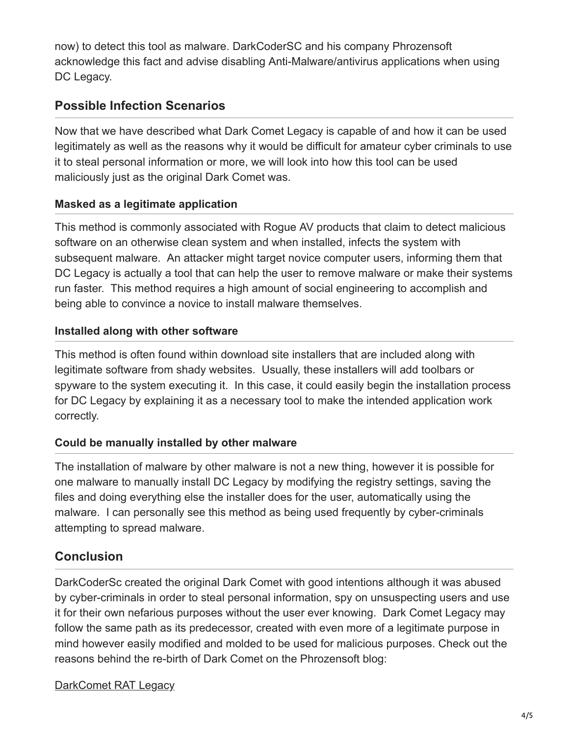now) to detect this tool as malware. DarkCoderSC and his company Phrozensoft acknowledge this fact and advise disabling Anti-Malware/antivirus applications when using DC Legacy.

## **Possible Infection Scenarios**

Now that we have described what Dark Comet Legacy is capable of and how it can be used legitimately as well as the reasons why it would be difficult for amateur cyber criminals to use it to steal personal information or more, we will look into how this tool can be used maliciously just as the original Dark Comet was.

#### **Masked as a legitimate application**

This method is commonly associated with Rogue AV products that claim to detect malicious software on an otherwise clean system and when installed, infects the system with subsequent malware. An attacker might target novice computer users, informing them that DC Legacy is actually a tool that can help the user to remove malware or make their systems run faster. This method requires a high amount of social engineering to accomplish and being able to convince a novice to install malware themselves.

#### **Installed along with other software**

This method is often found within download site installers that are included along with legitimate software from shady websites. Usually, these installers will add toolbars or spyware to the system executing it. In this case, it could easily begin the installation process for DC Legacy by explaining it as a necessary tool to make the intended application work correctly.

#### **Could be manually installed by other malware**

The installation of malware by other malware is not a new thing, however it is possible for one malware to manually install DC Legacy by modifying the registry settings, saving the files and doing everything else the installer does for the user, automatically using the malware. I can personally see this method as being used frequently by cyber-criminals attempting to spread malware.

# **Conclusion**

DarkCoderSc created the original Dark Comet with good intentions although it was abused by cyber-criminals in order to steal personal information, spy on unsuspecting users and use it for their own nefarious purposes without the user ever knowing. Dark Comet Legacy may follow the same path as its predecessor, created with even more of a legitimate purpose in mind however easily modified and molded to be used for malicious purposes. Check out the reasons behind the re-birth of Dark Comet on the Phrozensoft blog:

#### [DarkComet RAT Legacy](http://phrozenblog.com/?p=420)